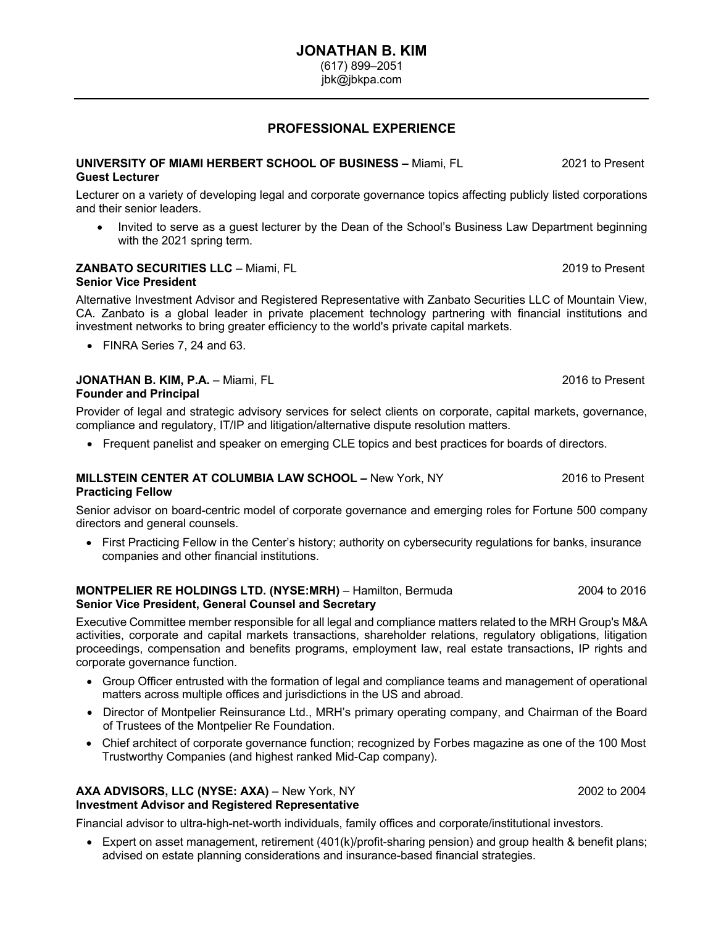jbk@jbkpa.com

# **PROFESSIONAL EXPERIENCE**

### **UNIVERSITY OF MIAMI HERBERT SCHOOL OF BUSINESS –** Miami, FL 2021 to Present **Guest Lecturer**

Lecturer on a variety of developing legal and corporate governance topics affecting publicly listed corporations and their senior leaders.

• Invited to serve as a guest lecturer by the Dean of the School's Business Law Department beginning with the 2021 spring term.

#### **ZANBATO SECURITIES LLC** – Miami, FL 2019 to Present **Senior Vice President**

Alternative Investment Advisor and Registered Representative with Zanbato Securities LLC of Mountain View, CA. Zanbato is a global leader in private placement technology partnering with financial institutions and investment networks to bring greater efficiency to the world's private capital markets.

• FINRA Series 7, 24 and 63.

#### **JONATHAN B. KIM, P.A.** – Miami, FL 2016 to Present **Founder and Principal**

Provider of legal and strategic advisory services for select clients on corporate, capital markets, governance, compliance and regulatory, IT/IP and litigation/alternative dispute resolution matters.

• Frequent panelist and speaker on emerging CLE topics and best practices for boards of directors.

### **MILLSTEIN CENTER AT COLUMBIA LAW SCHOOL –** New York, NY 2016 to Present **Practicing Fellow**

Senior advisor on board-centric model of corporate governance and emerging roles for Fortune 500 company directors and general counsels.

• First Practicing Fellow in the Center's history; authority on cybersecurity regulations for banks, insurance companies and other financial institutions.

#### **MONTPELIER RE HOLDINGS LTD. (NYSE:MRH)** – Hamilton, Bermuda 2004 to 2016 **Senior Vice President, General Counsel and Secretary**

Executive Committee member responsible for all legal and compliance matters related to the MRH Group's M&A activities, corporate and capital markets transactions, shareholder relations, regulatory obligations, litigation proceedings, compensation and benefits programs, employment law, real estate transactions, IP rights and corporate governance function.

- Group Officer entrusted with the formation of legal and compliance teams and management of operational matters across multiple offices and jurisdictions in the US and abroad.
- Director of Montpelier Reinsurance Ltd., MRH's primary operating company, and Chairman of the Board of Trustees of the Montpelier Re Foundation.
- Chief architect of corporate governance function; recognized by Forbes magazine as one of the 100 Most Trustworthy Companies (and highest ranked Mid-Cap company).

# AXA ADVISORS, LLC (NYSE: AXA) – New York, NY 2002 **12002** to 2004

# **Investment Advisor and Registered Representative**

Financial advisor to ultra-high-net-worth individuals, family offices and corporate/institutional investors.

• Expert on asset management, retirement (401(k)/profit-sharing pension) and group health & benefit plans; advised on estate planning considerations and insurance-based financial strategies.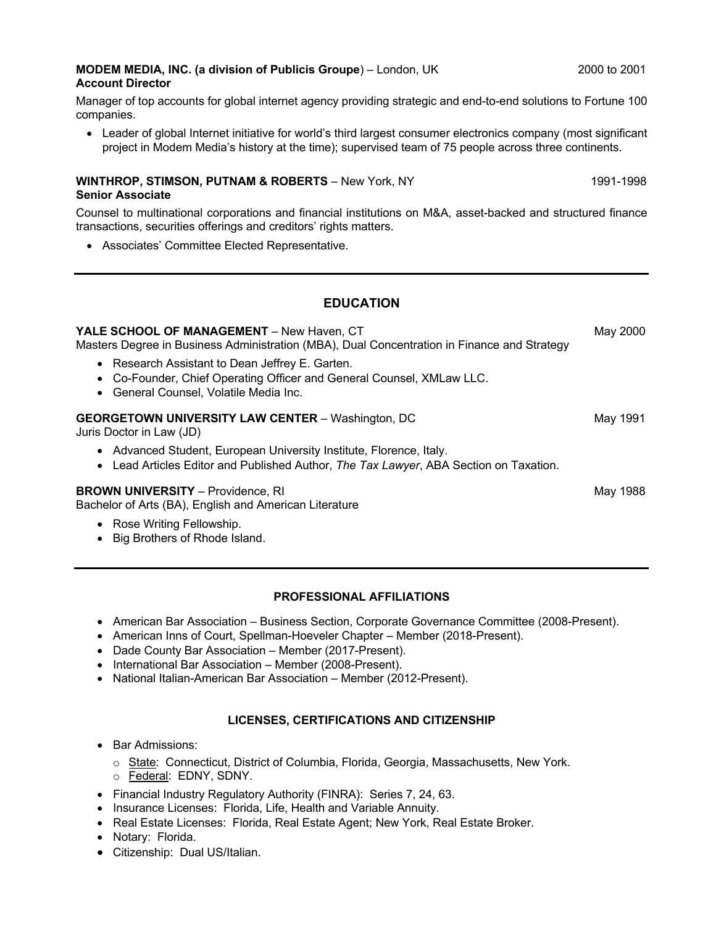### **MODEM MEDIA, INC. (a division of Publicis Groupe**) – London, UK 2000 2001 2000 to 2001 **Account Director**

Manager of top accounts for global internet agency providing strategic and end-to-end solutions to Fortune 100 companies.

• Leader of global Internet initiative for world's third largest consumer electronics company (most significant project in Modem Media's history at the time); supervised team of 75 people across three continents.

#### **WINTHROP, STIMSON, PUTNAM & ROBERTS** – New York, NY 1991-1998 **Senior Associate**

Counsel to multinational corporations and financial institutions on M&A, asset-backed and structured finance transactions, securities offerings and creditors' rights matters.

• Associates' Committee Elected Representative.

# **EDUCATION**

| <b>YALE SCHOOL OF MANAGEMENT</b> – New Haven, CT<br>Masters Degree in Business Administration (MBA), Dual Concentration in Finance and Strategy                    | May 2000 |
|--------------------------------------------------------------------------------------------------------------------------------------------------------------------|----------|
| • Research Assistant to Dean Jeffrey E. Garten.<br>• Co-Founder, Chief Operating Officer and General Counsel, XMLaw LLC.<br>• General Counsel, Volatile Media Inc. |          |
| <b>GEORGETOWN UNIVERSITY LAW CENTER - Washington, DC</b><br>Juris Doctor in Law (JD)                                                                               | May 1991 |
| • Advanced Student, European University Institute, Florence, Italy.<br>• Lead Articles Editor and Published Author, The Tax Lawyer, ABA Section on Taxation.       |          |
| <b>BROWN UNIVERSITY - Providence, RI</b><br>Bachelor of Arts (BA), English and American Literature                                                                 | May 1988 |
| • Rose Writing Fellowship.<br>Big Brothers of Rhode Island.                                                                                                        |          |

### **PROFESSIONAL AFFILIATIONS**

- American Bar Association Business Section, Corporate Governance Committee (2008-Present).
- American Inns of Court, Spellman-Hoeveler Chapter Member (2018-Present).
- Dade County Bar Association Member (2017-Present).
- International Bar Association Member (2008-Present).
- National Italian-American Bar Association Member (2012-Present).

### **LICENSES, CERTIFICATIONS AND CITIZENSHIP**

- Bar Admissions:
	- o State: Connecticut, District of Columbia, Florida, Georgia, Massachusetts, New York. o Federal: EDNY, SDNY.
- Financial Industry Regulatory Authority (FINRA): Series 7, 24, 63.
- Insurance Licenses: Florida, Life, Health and Variable Annuity.
- Real Estate Licenses: Florida, Real Estate Agent; New York, Real Estate Broker.
- Notary: Florida.
- Citizenship: Dual US/Italian.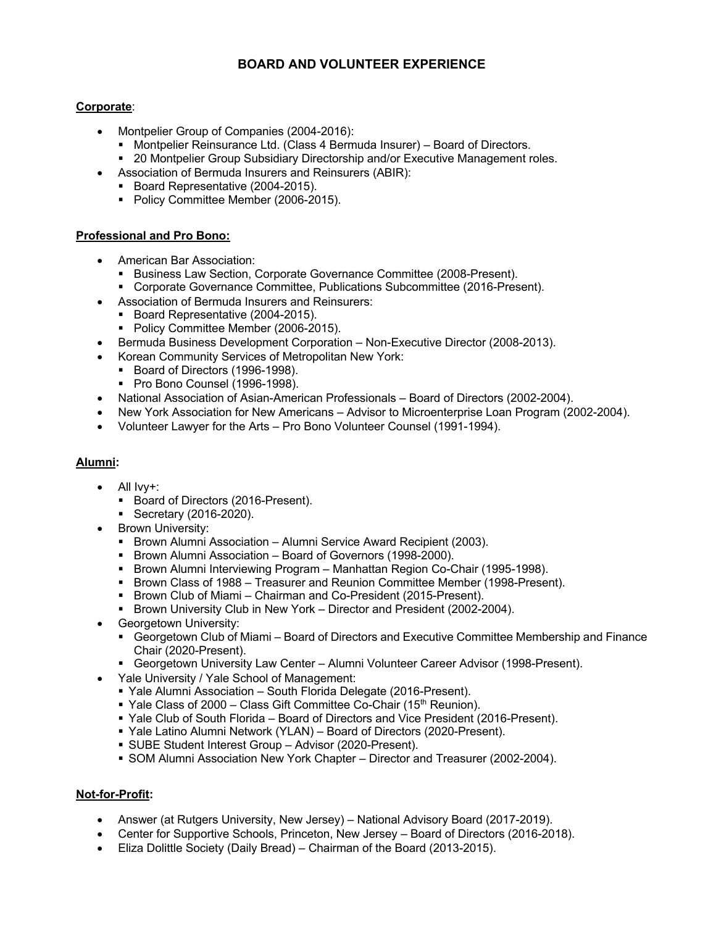# **BOARD AND VOLUNTEER EXPERIENCE**

### **Corporate**:

- Montpelier Group of Companies (2004-2016):
	- Montpelier Reinsurance Ltd. (Class 4 Bermuda Insurer) Board of Directors.
	- 20 Montpelier Group Subsidiary Directorship and/or Executive Management roles.
- Association of Bermuda Insurers and Reinsurers (ABIR):
	- § Board Representative (2004-2015).
		- Policy Committee Member (2006-2015).

## **Professional and Pro Bono:**

- American Bar Association:
	- Business Law Section, Corporate Governance Committee (2008-Present).
	- § Corporate Governance Committee, Publications Subcommittee (2016-Present).
- Association of Bermuda Insurers and Reinsurers:
	- Board Representative (2004-2015).
	- Policy Committee Member (2006-2015).
- Bermuda Business Development Corporation Non-Executive Director (2008-2013).
- Korean Community Services of Metropolitan New York:
	- Board of Directors (1996-1998).
	- Pro Bono Counsel (1996-1998).
- National Association of Asian-American Professionals Board of Directors (2002-2004).
- New York Association for New Americans Advisor to Microenterprise Loan Program (2002-2004).
- Volunteer Lawyer for the Arts Pro Bono Volunteer Counsel (1991-1994).

### **Alumni:**

- All Ivy+:
	- Board of Directors (2016-Present).
	- Secretary (2016-2020).
- Brown University:
	- Brown Alumni Association Alumni Service Award Recipient (2003).
	- Brown Alumni Association Board of Governors (1998-2000).
	- § Brown Alumni Interviewing Program Manhattan Region Co-Chair (1995-1998).
	- Brown Class of 1988 Treasurer and Reunion Committee Member (1998-Present).
	- Brown Club of Miami Chairman and Co-President (2015-Present).
	- § Brown University Club in New York Director and President (2002-2004).
- Georgetown University:
	- Georgetown Club of Miami Board of Directors and Executive Committee Membership and Finance Chair (2020-Present).
	- Georgetown University Law Center Alumni Volunteer Career Advisor (1998-Present).
	- Yale University / Yale School of Management:
		- § Yale Alumni Association South Florida Delegate (2016-Present).
		- Yale Class of 2000 Class Gift Committee Co-Chair (15<sup>th</sup> Reunion).
		- § Yale Club of South Florida Board of Directors and Vice President (2016-Present).
		- Yale Latino Alumni Network (YLAN) Board of Directors (2020-Present).
		- § SUBE Student Interest Group Advisor (2020-Present).
		- § SOM Alumni Association New York Chapter Director and Treasurer (2002-2004).

### **Not-for-Profit:**

- Answer (at Rutgers University, New Jersey) National Advisory Board (2017-2019).
- Center for Supportive Schools, Princeton, New Jersey Board of Directors (2016-2018).
- Eliza Dolittle Society (Daily Bread) Chairman of the Board (2013-2015).